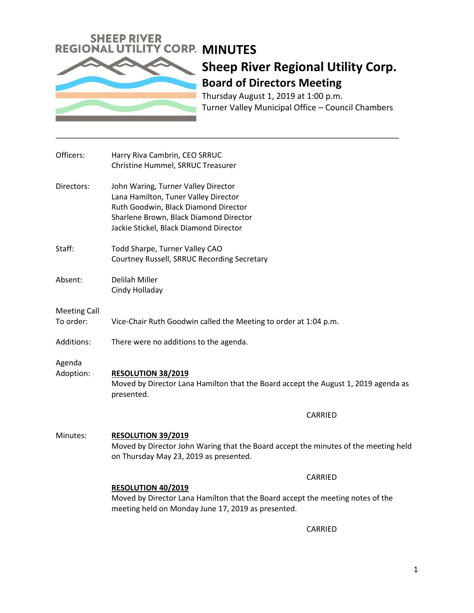

# **Sheep River Regional Utility Corp. Board of Directors Meeting**

Thursday August 1, 2019 at 1:00 p.m. Turner Valley Municipal Office – Council Chambers

| Officers:                        | Harry Riva Cambrin, CEO SRRUC<br>Christine Hummel, SRRUC Treasurer                                                                                                                                      |
|----------------------------------|---------------------------------------------------------------------------------------------------------------------------------------------------------------------------------------------------------|
| Directors:                       | John Waring, Turner Valley Director<br>Lana Hamilton, Tuner Valley Director<br>Ruth Goodwin, Black Diamond Director<br>Sharlene Brown, Black Diamond Director<br>Jackie Stickel, Black Diamond Director |
| Staff:                           | Todd Sharpe, Turner Valley CAO<br>Courtney Russell, SRRUC Recording Secretary                                                                                                                           |
| Absent:                          | Delilah Miller<br>Cindy Holladay                                                                                                                                                                        |
| <b>Meeting Call</b><br>To order: | Vice-Chair Ruth Goodwin called the Meeting to order at 1:04 p.m.                                                                                                                                        |
| Additions:                       | There were no additions to the agenda.                                                                                                                                                                  |
| Agenda<br>Adoption:              | <b>RESOLUTION 38/2019</b><br>Moved by Director Lana Hamilton that the Board accept the August 1, 2019 agenda as<br>presented.                                                                           |
|                                  | CARRIED                                                                                                                                                                                                 |
| Minutes:                         | <b>RESOLUTION 39/2019</b><br>Moved by Director John Waring that the Board accept the minutes of the meeting held<br>on Thursday May 23, 2019 as presented.                                              |
|                                  | CARRIED                                                                                                                                                                                                 |
|                                  | RESOLUTION 40/2019<br>Moved by Director Lana Hamilton that the Board accept the meeting notes of the<br>meeting held on Monday June 17, 2019 as presented.                                              |

\_\_\_\_\_\_\_\_\_\_\_\_\_\_\_\_\_\_\_\_\_\_\_\_\_\_\_\_\_\_\_\_\_\_\_\_\_\_\_\_\_\_\_\_\_\_\_\_\_\_\_\_\_\_\_\_\_\_\_\_\_\_\_\_\_\_\_\_\_\_\_\_\_\_\_\_\_\_\_\_\_

CARRIED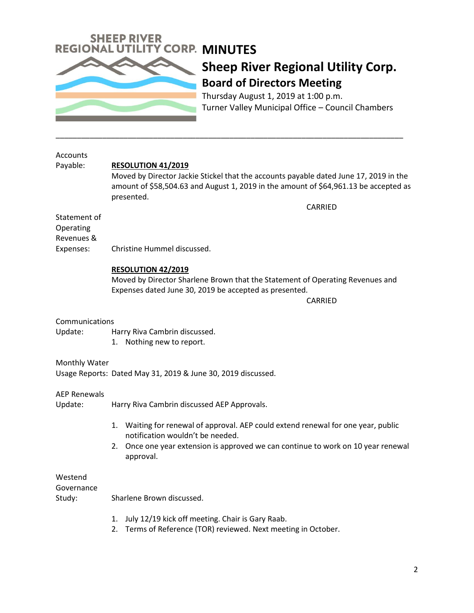

### **Sheep River Regional Utility Corp. Board of Directors Meeting**

Thursday August 1, 2019 at 1:00 p.m. Turner Valley Municipal Office – Council Chambers

| <b>Accounts</b>     |                                                                                       |
|---------------------|---------------------------------------------------------------------------------------|
| Payable:            | <b>RESOLUTION 41/2019</b>                                                             |
|                     | Moved by Director Jackie Stickel that the accounts payable dated June 17, 2019 in the |
|                     | amount of \$58,504.63 and August 1, 2019 in the amount of \$64,961.13 be accepted as  |
|                     | presented.                                                                            |
|                     | <b>CARRIED</b>                                                                        |
| Statement of        |                                                                                       |
| Operating           |                                                                                       |
| Revenues &          |                                                                                       |
| Expenses:           | Christine Hummel discussed.                                                           |
|                     |                                                                                       |
|                     | <b>RESOLUTION 42/2019</b>                                                             |
|                     | Moved by Director Sharlene Brown that the Statement of Operating Revenues and         |
|                     | Expenses dated June 30, 2019 be accepted as presented.                                |
|                     |                                                                                       |
|                     | CARRIED                                                                               |
| Communications      |                                                                                       |
| Update:             |                                                                                       |
|                     | Harry Riva Cambrin discussed.                                                         |
|                     | 1. Nothing new to report.                                                             |
| Monthly Water       |                                                                                       |
|                     | Usage Reports: Dated May 31, 2019 & June 30, 2019 discussed.                          |
|                     |                                                                                       |
| <b>AEP Renewals</b> |                                                                                       |
| Update:             | Harry Riva Cambrin discussed AEP Approvals.                                           |
|                     |                                                                                       |
|                     | 1. Waiting for renewal of approval. AEP could extend renewal for one year, public     |
|                     | notification wouldn't be needed.                                                      |
|                     | Once one year extension is approved we can continue to work on 10 year renewal<br>2.  |
|                     |                                                                                       |
|                     | approval.                                                                             |
| Westend             |                                                                                       |
|                     |                                                                                       |
| Governance          |                                                                                       |
| Study:              | Sharlene Brown discussed.                                                             |
|                     | July 12/19 kick off meeting. Chair is Gary Raab.<br>1.                                |
|                     |                                                                                       |
|                     | Terms of Reference (TOR) reviewed. Next meeting in October.<br>2.                     |